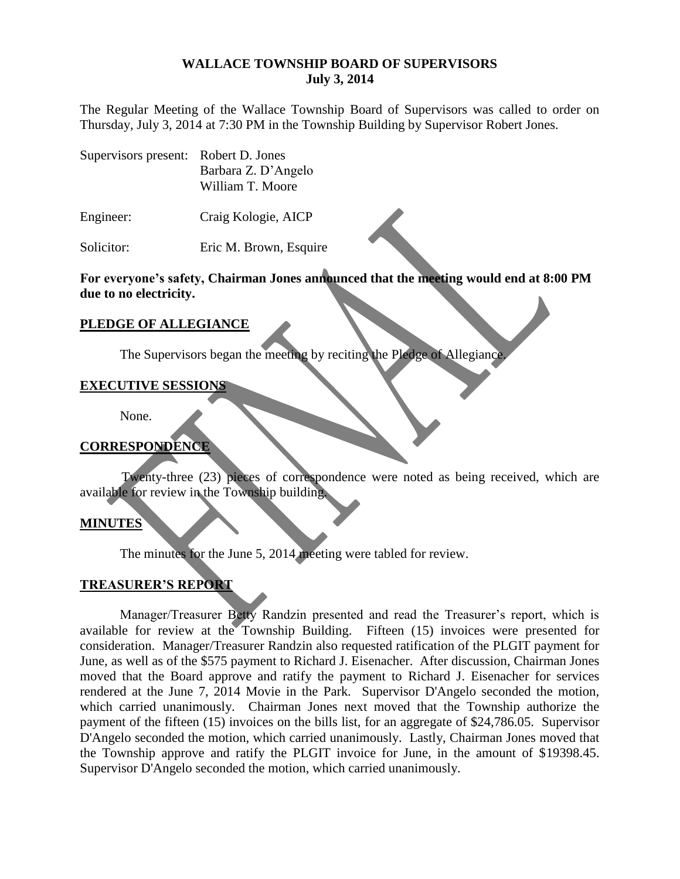#### **WALLACE TOWNSHIP BOARD OF SUPERVISORS July 3, 2014**

The Regular Meeting of the Wallace Township Board of Supervisors was called to order on Thursday, July 3, 2014 at 7:30 PM in the Township Building by Supervisor Robert Jones.

| Supervisors present: Robert D. Jones |                     |
|--------------------------------------|---------------------|
|                                      | Barbara Z. D'Angelo |
|                                      | William T. Moore    |

Engineer: Craig Kologie, AICP

Solicitor: Eric M. Brown, Esquire

**For everyone's safety, Chairman Jones announced that the meeting would end at 8:00 PM due to no electricity.**

#### **PLEDGE OF ALLEGIANCE**

The Supervisors began the meeting by reciting the Pledge of Allegiance.

### **EXECUTIVE SESSIONS**

None.

### **CORRESPONDENCE**

Twenty-three (23) pieces of correspondence were noted as being received, which are available for review in the Township building.

#### **MINUTES**

The minutes for the June 5, 2014 meeting were tabled for review.

### **TREASURER'S REPORT**

Manager/Treasurer Betty Randzin presented and read the Treasurer's report, which is available for review at the Township Building. Fifteen (15) invoices were presented for consideration. Manager/Treasurer Randzin also requested ratification of the PLGIT payment for June, as well as of the \$575 payment to Richard J. Eisenacher. After discussion, Chairman Jones moved that the Board approve and ratify the payment to Richard J. Eisenacher for services rendered at the June 7, 2014 Movie in the Park. Supervisor D'Angelo seconded the motion, which carried unanimously. Chairman Jones next moved that the Township authorize the payment of the fifteen (15) invoices on the bills list, for an aggregate of \$24,786.05. Supervisor D'Angelo seconded the motion, which carried unanimously. Lastly, Chairman Jones moved that the Township approve and ratify the PLGIT invoice for June, in the amount of \$19398.45. Supervisor D'Angelo seconded the motion, which carried unanimously.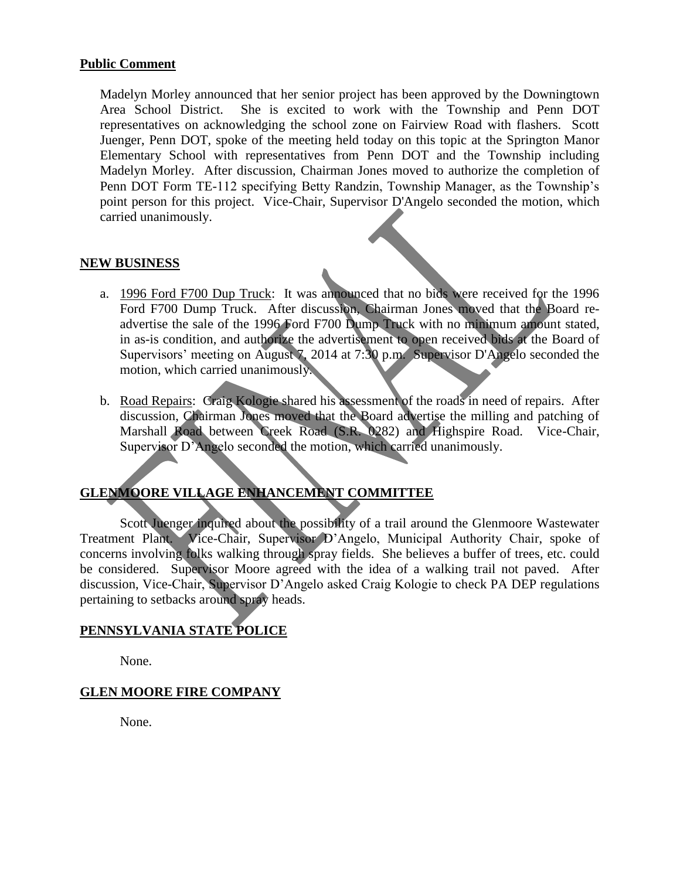#### **Public Comment**

Madelyn Morley announced that her senior project has been approved by the Downingtown Area School District. She is excited to work with the Township and Penn DOT representatives on acknowledging the school zone on Fairview Road with flashers. Scott Juenger, Penn DOT, spoke of the meeting held today on this topic at the Springton Manor Elementary School with representatives from Penn DOT and the Township including Madelyn Morley. After discussion, Chairman Jones moved to authorize the completion of Penn DOT Form TE-112 specifying Betty Randzin, Township Manager, as the Township's point person for this project. Vice-Chair, Supervisor D'Angelo seconded the motion, which carried unanimously.

### **NEW BUSINESS**

- a. 1996 Ford F700 Dup Truck: It was announced that no bids were received for the 1996 Ford F700 Dump Truck. After discussion, Chairman Jones moved that the Board readvertise the sale of the 1996 Ford F700 Dump Truck with no minimum amount stated, in as-is condition, and authorize the advertisement to open received bids at the Board of Supervisors' meeting on August 7, 2014 at 7:30 p.m. Supervisor D'Angelo seconded the motion, which carried unanimously.
- b. Road Repairs: Craig Kologie shared his assessment of the roads in need of repairs. After discussion, Chairman Jones moved that the Board advertise the milling and patching of Marshall Road between Creek Road (S.R. 0282) and Highspire Road. Vice-Chair, Supervisor D'Angelo seconded the motion, which carried unanimously.

# **GLENMOORE VILLAGE ENHANCEMENT COMMITTEE**

Scott Juenger inquired about the possibility of a trail around the Glenmoore Wastewater Treatment Plant. Vice-Chair, Supervisor D'Angelo, Municipal Authority Chair, spoke of concerns involving folks walking through spray fields. She believes a buffer of trees, etc. could be considered. Supervisor Moore agreed with the idea of a walking trail not paved. After discussion, Vice-Chair, Supervisor D'Angelo asked Craig Kologie to check PA DEP regulations pertaining to setbacks around spray heads.

### **PENNSYLVANIA STATE POLICE**

None.

### **GLEN MOORE FIRE COMPANY**

None.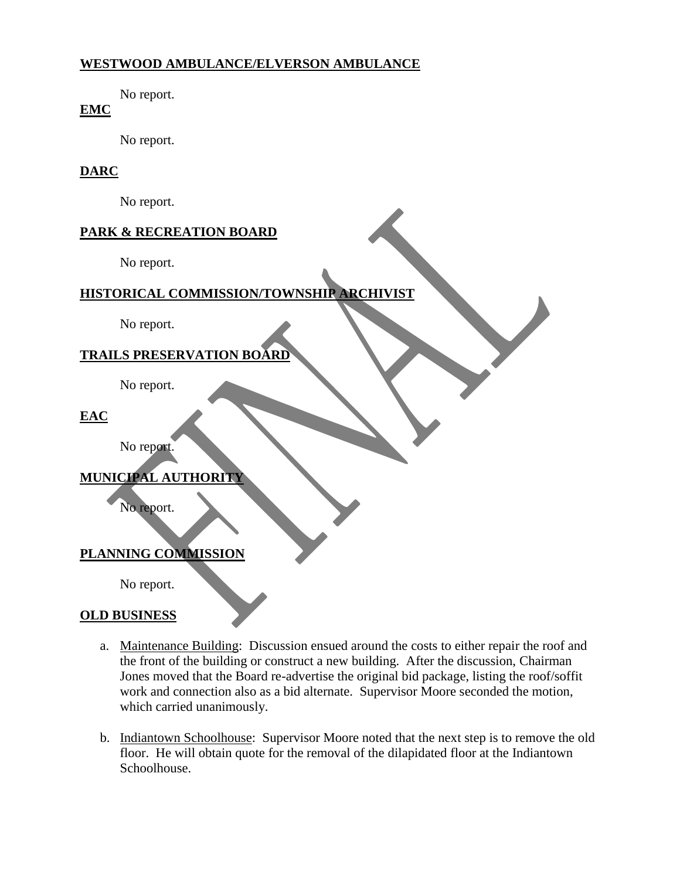### **WESTWOOD AMBULANCE/ELVERSON AMBULANCE**

No report.

# **EMC**

No report.

## **DARC**

No report.

# **PARK & RECREATION BOARD**

No report.

# **HISTORICAL COMMISSION/TOWNSHIP ARCHIVIST**

No report.

# **TRAILS PRESERVATION BOARD**

No report.

### **EAC**

No report.

# **MUNICIPAL AUTHORITY**

No report.

### **PLANNING COMMISSION**

No report.

### **OLD BUSINESS**

- a. Maintenance Building: Discussion ensued around the costs to either repair the roof and the front of the building or construct a new building. After the discussion, Chairman Jones moved that the Board re-advertise the original bid package, listing the roof/soffit work and connection also as a bid alternate. Supervisor Moore seconded the motion, which carried unanimously.
- b. Indiantown Schoolhouse: Supervisor Moore noted that the next step is to remove the old floor. He will obtain quote for the removal of the dilapidated floor at the Indiantown Schoolhouse.